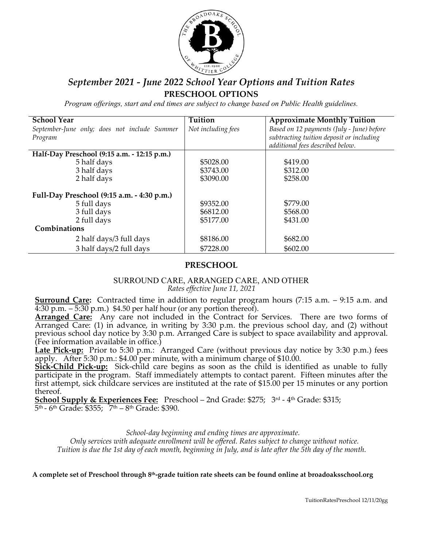

# *September 2021 - June 2022 School Year Options and Tuition Rates* **PRESCHOOL OPTIONS**

*Program offerings, start and end times are subject to change based on Public Health guidelines.*

| <b>School Year</b>                           | Tuition            | <b>Approximate Monthly Tuition</b>        |
|----------------------------------------------|--------------------|-------------------------------------------|
| September-June only; does not include Summer | Not including fees | Based on 12 payments (July - June) before |
| Program                                      |                    | subtracting tuition deposit or including  |
|                                              |                    | additional fees described below.          |
| Half-Day Preschool (9:15 a.m. - 12:15 p.m.)  |                    |                                           |
| 5 half days                                  | \$5028.00          | \$419.00                                  |
| 3 half days                                  | \$3743.00          | \$312.00                                  |
| 2 half days                                  | \$3090.00          | \$258.00                                  |
|                                              |                    |                                           |
| Full-Day Preschool (9:15 a.m. - 4:30 p.m.)   |                    |                                           |
| 5 full days                                  | \$9352.00          | \$779.00                                  |
| 3 full days                                  | \$6812.00          | \$568.00                                  |
| 2 full days                                  | \$5177.00          | \$431.00                                  |
| Combinations                                 |                    |                                           |
| 2 half days/3 full days                      | \$8186.00          | \$682.00                                  |
| 3 half days/2 full days                      | \$7228.00          | \$602.00                                  |

### **PRESCHOOL**

#### SURROUND CARE, ARRANGED CARE, AND OTHER *Rates effective June 11, 2021*

**Surround Care:** Contracted time in addition to regular program hours (7:15 a.m. – 9:15 a.m. and 4:30 p.m. – 5:30 p.m.) \$4.50 per half hour (or any portion thereof).

**Arranged Care:** Any care not included in the Contract for Services. There are two forms of Arranged Care: (1) in advance, in writing by 3:30 p.m. the previous school day, and (2) without previous school day notice by 3:30 p.m. Arranged Care is subject to space availability and approval. (Fee information available in office.)

**Late Pick-up:** Prior to 5:30 p.m.: Arranged Care (without previous day notice by 3:30 p.m.) fees apply. After 5:30 p.m.: \$4.00 per minute, with a minimum charge of \$10.00.

**Sick-Child Pick-up:** Sick-child care begins as soon as the child is identified as unable to fully participate in the program. Staff immediately attempts to contact parent. Fifteen minutes after the first attempt, sick childcare services are instituted at the rate of \$15.00 per 15 minutes or any portion thereof.

**School Supply & Experiences Fee:** Preschool – 2nd Grade: \$275; 3<sup>rd</sup> - 4<sup>th</sup> Grade: \$315;  $5<sup>th</sup> - 6<sup>th</sup>$  Grade: \$355;  $7<sup>th</sup> - 8<sup>th</sup>$  Grade: \$390.

> *School-day beginning and ending times are approximate. Only services with adequate enrollment will be offered. Rates subject to change without notice.*

*Tuition is due the 1st day of each month, beginning in July, and is late after the 5th day of the month.*

**A complete set of Preschool through 8th-grade tuition rate sheets can be found online at broadoaksschool.org**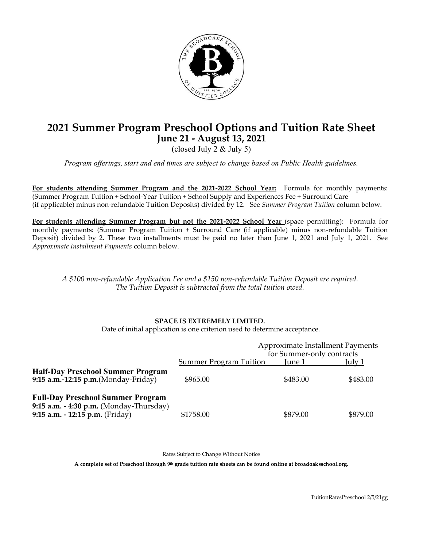

# **2021 Summer Program Preschool Options and Tuition Rate Sheet June 21 - August 13, 2021**

(closed July 2 & July 5)

*Program offerings, start and end times are subject to change based on Public Health guidelines.*

**For students attending Summer Program and the 2021-2022 School Year:** Formula for monthly payments: (Summer Program Tuition + School-Year Tuition + School Supply and Experiences Fee + Surround Care (if applicable) minus non-refundable Tuition Deposits) divided by 12. See *Summer Program Tuition* column below.

**For students attending Summer Program but not the 2021-2022 School Year** (space permitting): Formula for monthly payments: (Summer Program Tuition + Surround Care (if applicable) minus non-refundable Tuition Deposit) divided by 2. These two installments must be paid no later than June 1, 2021 and July 1, 2021. See *Approximate Installment Payments* column below.

*A \$100 non-refundable Application Fee and a \$150 non-refundable Tuition Deposit are required. The Tuition Deposit is subtracted from the total tuition owed.*

#### **SPACE IS EXTREMELY LIMITED.**

Date of initial application is one criterion used to determine acceptance.

|                                                                                                                        |                               | Approximate Installment Payments<br>for Summer-only contracts |          |
|------------------------------------------------------------------------------------------------------------------------|-------------------------------|---------------------------------------------------------------|----------|
|                                                                                                                        | <b>Summer Program Tuition</b> | June 1                                                        | July 1   |
| <b>Half-Day Preschool Summer Program</b><br>9:15 $a.m.-12:15 p.m.(Monday-Friday)$                                      | \$965.00                      | \$483.00                                                      | \$483.00 |
| <b>Full-Day Preschool Summer Program</b><br>9:15 a.m. - 4:30 p.m. (Monday-Thursday)<br>9:15 a.m. - 12:15 p.m. (Friday) | \$1758.00                     | \$879.00                                                      | \$879.00 |

Rates Subject to Change Without Notice

**A complete set of Preschool through 9th grade tuition rate sheets can be found online at broadoaksschool.org.**

TuitionRatesPreschool 2/5/21gg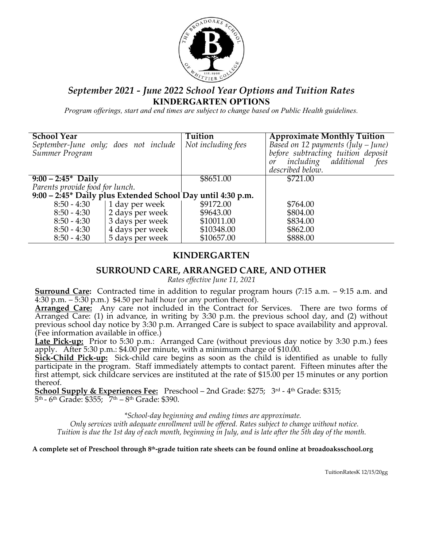

## *September 2021 - June 2022 School Year Options and Tuition Rates* **KINDERGARTEN OPTIONS**

*Program offerings, start and end times are subject to change based on Public Health guidelines.*

| <b>School Year</b>                    |                                                             | Tuition            | <b>Approximate Monthly Tuition</b>   |
|---------------------------------------|-------------------------------------------------------------|--------------------|--------------------------------------|
| September-June only; does not include |                                                             | Not including fees | Based on 12 payments $(july - June)$ |
| Summer Program                        |                                                             |                    | before subtracting tuition deposit   |
|                                       |                                                             |                    |                                      |
|                                       |                                                             |                    | including additional fees<br>or      |
|                                       |                                                             |                    | described below.                     |
| $9:00 - 2:45^*$ Daily                 |                                                             | \$8651.00          | \$721.00                             |
| Parents provide food for lunch.       |                                                             |                    |                                      |
|                                       | 9:00 – 2:45* Daily plus Extended School Day until 4:30 p.m. |                    |                                      |
| $8:50 - 4:30$                         | 1 day per week                                              | \$9172.00          | \$764.00                             |
| $8:50 - 4:30$                         | 2 days per week                                             | \$9643.00          | \$804.00                             |
| $8:50 - 4:30$                         | 3 days per week                                             | \$10011.00         | \$834.00                             |
| $8:50 - 4:30$                         | 4 days per week                                             | \$10348.00         | \$862.00                             |
| $8:50 - 4:30$                         | 5 days per week                                             | \$10657.00         | \$888.00                             |

# **KINDERGARTEN**

## **SURROUND CARE, ARRANGED CARE, AND OTHER**

*Rates effective June 11, 2021*

**Surround Care:** Contracted time in addition to regular program hours (7:15 a.m. – 9:15 a.m. and 4:30 p.m. – 5:30 p.m.) \$4.50 per half hour (or any portion thereof).

**Arranged Care:** Any care not included in the Contract for Services. There are two forms of Arranged Care: (1) in advance, in writing by 3:30 p.m. the previous school day, and (2) without previous school day notice by 3:30 p.m. Arranged Care is subject to space availability and approval. (Fee information available in office.)

**Late Pick-up:** Prior to 5:30 p.m.: Arranged Care (without previous day notice by 3:30 p.m.) fees apply. After 5:30 p.m.: \$4.00 per minute, with a minimum charge of \$10.00.

**Sick-Child Pick-up:** Sick-child care begins as soon as the child is identified as unable to fully participate in the program. Staff immediately attempts to contact parent. Fifteen minutes after the first attempt, sick childcare services are instituted at the rate of \$15.00 per 15 minutes or any portion thereof.

**School Supply & Experiences Fee:** Preschool – 2nd Grade: \$275; 3<sup>rd</sup> - 4<sup>th</sup> Grade: \$315;  $5<sup>th</sup>$  - 6<sup>th</sup> Grade: \$355;  $7<sup>th</sup>$  – 8<sup>th</sup> Grade: \$390.

*\*School-day beginning and ending times are approximate.*

*Only services with adequate enrollment will be offered. Rates subject to change without notice. Tuition is due the 1st day of each month, beginning in July, and is late after the 5th day of the month.*

**A complete set of Preschool through 8th-grade tuition rate sheets can be found online at broadoaksschool.org**

TuitionRatesK 12/15/20gg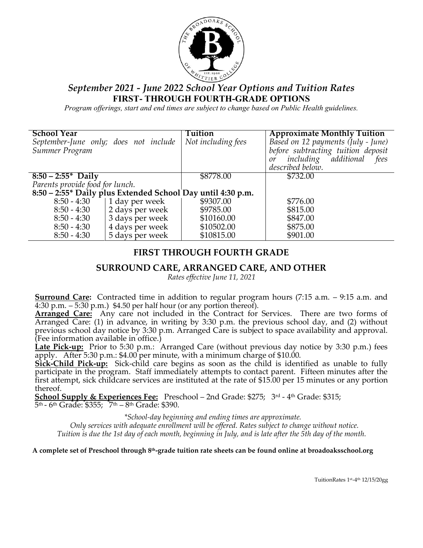

# *September 2021 - June 2022 School Year Options and Tuition Rates* **FIRST- THROUGH FOURTH-GRADE OPTIONS**

*Program offerings, start and end times are subject to change based on Public Health guidelines.*

| <b>School Year</b><br>Summer Program                        | September-June only; does not include | <b>Tuition</b><br>Not including fees | <b>Approximate Monthly Tuition</b><br>Based on 12 payments (July - June)<br>before subtracting tuition deposit<br>including additional fees<br>or<br>described below. |
|-------------------------------------------------------------|---------------------------------------|--------------------------------------|-----------------------------------------------------------------------------------------------------------------------------------------------------------------------|
| $8:50 - 2:55*$ Daily                                        |                                       | \$8778.00                            | \$732.00                                                                                                                                                              |
| Parents provide food for lunch.                             |                                       |                                      |                                                                                                                                                                       |
| 8:50 - 2:55* Daily plus Extended School Day until 4:30 p.m. |                                       |                                      |                                                                                                                                                                       |
| $8:50 - 4:30$                                               | 1 day per week                        | \$9307.00                            | \$776.00                                                                                                                                                              |
| $8:50 - 4:30$                                               | 2 days per week                       | \$9785.00                            | \$815.00                                                                                                                                                              |
| $8:50 - 4:30$                                               | 3 days per week                       | \$10160.00                           | \$847.00                                                                                                                                                              |
| $8:50 - 4:30$                                               | 4 days per week                       | \$10502.00                           | \$875.00                                                                                                                                                              |
| $8:50 - 4:30$                                               | 5 days per week                       | \$10815.00                           | \$901.00                                                                                                                                                              |

## **FIRST THROUGH FOURTH GRADE**

### **SURROUND CARE, ARRANGED CARE, AND OTHER**

*Rates effective June 11, 2021*

**Surround Care:** Contracted time in addition to regular program hours (7:15 a.m. – 9:15 a.m. and 4:30 p.m.  $-5:30$  p.m.) \$4.50 per half hour (or any portion thereof).

**Arranged Care:** Any care not included in the Contract for Services. There are two forms of Arranged Care: (1) in advance, in writing by 3:30 p.m. the previous school day, and (2) without previous school day notice by 3:30 p.m. Arranged Care is subject to space availability and approval. (Fee information available in office.)

**Late Pick-up:** Prior to 5:30 p.m.: Arranged Care (without previous day notice by 3:30 p.m.) fees apply. After 5:30 p.m.: \$4.00 per minute, with a minimum charge of \$10.00.

**Sick-Child Pick-up:** Sick-child care begins as soon as the child is identified as unable to fully participate in the program. Staff immediately attempts to contact parent. Fifteen minutes after the first attempt, sick childcare services are instituted at the rate of \$15.00 per 15 minutes or any portion thereof.

**School Supply & Experiences Fee:** Preschool – 2nd Grade: \$275; 3<sup>rd</sup> - 4<sup>th</sup> Grade: \$315;  $5<sup>th</sup>$  - 6<sup>th</sup> Grade: \$355;  $7<sup>th</sup>$  – 8<sup>th</sup> Grade: \$390.

*\*School-day beginning and ending times are approximate.*

*Only services with adequate enrollment will be offered. Rates subject to change without notice. Tuition is due the 1st day of each month, beginning in July, and is late after the 5th day of the month.*

**A complete set of Preschool through 8th-grade tuition rate sheets can be found online at broadoaksschool.org**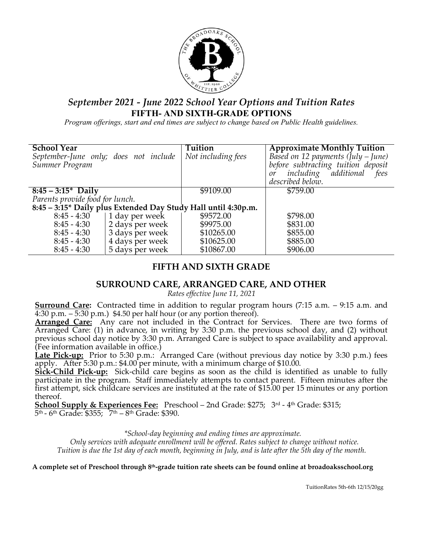

# *September 2021 - June 2022 School Year Options and Tuition Rates* **FIFTH- AND SIXTH-GRADE OPTIONS**

*Program offerings, start and end times are subject to change based on Public Health guidelines.*

| <b>School Year</b><br>Summer Program | September-June only; does not include | Tuition<br>Not including fees                                  | <b>Approximate Monthly Tuition</b><br>Based on 12 payments $(july - June)$<br>before subtracting tuition deposit<br>including additional fees<br>or<br>described below. |
|--------------------------------------|---------------------------------------|----------------------------------------------------------------|-------------------------------------------------------------------------------------------------------------------------------------------------------------------------|
| $8:45 - 3:15^*$ Daily                |                                       | \$9109.00                                                      | \$759.00                                                                                                                                                                |
| Parents provide food for lunch.      |                                       |                                                                |                                                                                                                                                                         |
|                                      |                                       | 8:45 - 3:15* Daily plus Extended Day Study Hall until 4:30p.m. |                                                                                                                                                                         |
| $8:45 - 4:30$                        | 1 day per week                        | \$9572.00                                                      | \$798.00                                                                                                                                                                |
| $8:45 - 4:30$                        | 2 days per week                       | \$9975.00                                                      | \$831.00                                                                                                                                                                |
| $8:45 - 4:30$                        | 3 days per week                       | \$10265.00                                                     | \$855.00                                                                                                                                                                |
| $8:45 - 4:30$                        | 4 days per week                       | \$10625.00                                                     | \$885.00                                                                                                                                                                |
| $8:45 - 4:30$                        | 5 days per week                       | \$10867.00                                                     | \$906.00                                                                                                                                                                |

# **FIFTH AND SIXTH GRADE**

## **SURROUND CARE, ARRANGED CARE, AND OTHER**

*Rates effective June 11, 2021*

**Surround Care:** Contracted time in addition to regular program hours (7:15 a.m. – 9:15 a.m. and 4:30 p.m.  $-5:30$  p.m.) \$4.50 per half hour (or any portion thereof).

**Arranged Care:** Any care not included in the Contract for Services. There are two forms of Arranged Care: (1) in advance, in writing by 3:30 p.m. the previous school day, and (2) without previous school day notice by 3:30 p.m. Arranged Care is subject to space availability and approval. (Fee information available in office.)

**Late Pick-up:** Prior to 5:30 p.m.: Arranged Care (without previous day notice by 3:30 p.m.) fees apply. After 5:30 p.m.: \$4.00 per minute, with a minimum charge of \$10.00.

**Sick-Child Pick-up:** Sick-child care begins as soon as the child is identified as unable to fully participate in the program. Staff immediately attempts to contact parent. Fifteen minutes after the first attempt, sick childcare services are instituted at the rate of \$15.00 per 15 minutes or any portion thereof.

**School Supply & Experiences Fee:** Preschool – 2nd Grade: \$275; 3<sup>rd</sup> - 4<sup>th</sup> Grade: \$315;  $5<sup>th</sup>$  - 6<sup>th</sup> Grade: \$355;  $7<sup>th</sup>$  – 8<sup>th</sup> Grade: \$390.

*\*School-day beginning and ending times are approximate.*

*Only services with adequate enrollment will be offered. Rates subject to change without notice. Tuition is due the 1st day of each month, beginning in July, and is late after the 5th day of the month.*

**A complete set of Preschool through 8th-grade tuition rate sheets can be found online at broadoaksschool.org**